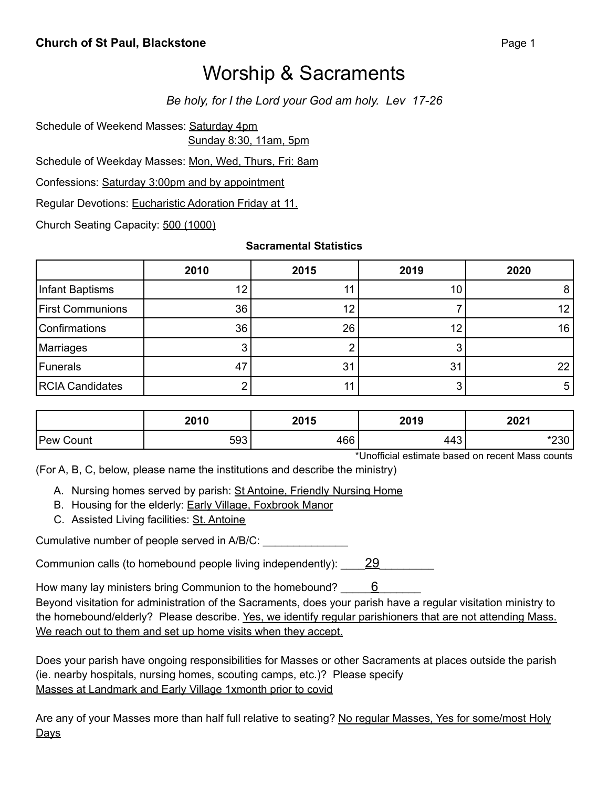## Worship & Sacraments

*Be holy, for I the Lord your God am holy. Lev 17-26*

Schedule of Weekend Masses: Saturday 4pm

Sunday 8:30, 11am, 5pm

Schedule of Weekday Masses: Mon, Wed, Thurs, Fri: 8am

Confessions: Saturday 3:00pm and by appointment

Regular Devotions: Eucharistic Adoration Friday at 11.

Church Seating Capacity: 500 (1000)

**Sacramental Statistics**

|                         | 2010 | 2015 | 2019           | 2020            |
|-------------------------|------|------|----------------|-----------------|
| Infant Baptisms         | 12   |      | 10             | 8               |
| <b>First Communions</b> | 36   | 12   |                | 12 <sub>l</sub> |
| <b>Confirmations</b>    | 36   | 26   | 12             | 16 <sub>1</sub> |
| Marriages               | ⌒    |      |                |                 |
| Funerals                | 47   | 31   | 3 <sup>1</sup> | 22              |
| <b>RCIA Candidates</b>  |      |      |                | 5               |

|                  | 2010 | 2015 | 2019 | 2021            |
|------------------|------|------|------|-----------------|
| <b>Pew Count</b> | 593  | 466  | 443  | $\kappa$<br>∠ວບ |

\*Unofficial estimate based on recent Mass counts

(For A, B, C, below, please name the institutions and describe the ministry)

A. Nursing homes served by parish: St Antoine, Friendly Nursing Home

B. Housing for the elderly: Early Village, Foxbrook Manor

C. Assisted Living facilities: St. Antoine

Cumulative number of people served in A/B/C: \_\_\_\_\_\_\_\_\_\_\_

Communion calls (to homebound people living independently):  $29$ 

How many lay ministers bring Communion to the homebound? \_\_\_\_\_\_6

Beyond visitation for administration of the Sacraments, does your parish have a regular visitation ministry to the homebound/elderly? Please describe. Yes, we identify regular parishioners that are not attending Mass. We reach out to them and set up home visits when they accept.

Does your parish have ongoing responsibilities for Masses or other Sacraments at places outside the parish (ie. nearby hospitals, nursing homes, scouting camps, etc.)? Please specify Masses at Landmark and Early Village 1xmonth prior to covid

Are any of your Masses more than half full relative to seating? No regular Masses, Yes for some/most Holy **Days**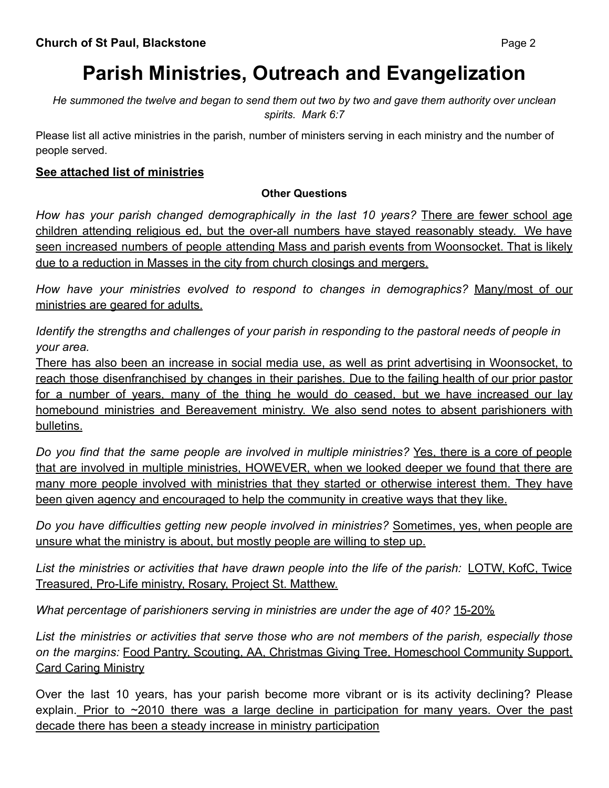# **Parish Ministries, Outreach and Evangelization**

He summoned the twelve and began to send them out two by two and gave them authority over unclean *spirits. Mark 6:7*

Please list all active ministries in the parish, number of ministers serving in each ministry and the number of people served.

#### **See attached list of ministries**

#### **Other Questions**

*How has your parish changed demographically in the last 10 years?* There are fewer school age children attending religious ed, but the over-all numbers have stayed reasonably steady. We have seen increased numbers of people attending Mass and parish events from Woonsocket. That is likely due to a reduction in Masses in the city from church closings and mergers.

*How have your ministries evolved to respond to changes in demographics?* Many/most of our ministries are geared for adults.

*Identify the strengths and challenges of your parish in responding to the pastoral needs of people in your area.*

There has also been an increase in social media use, as well as print advertising in Woonsocket, to reach those disenfranchised by changes in their parishes. Due to the failing health of our prior pastor for a number of years, many of the thing he would do ceased, but we have increased our lay homebound ministries and Bereavement ministry. We also send notes to absent parishioners with bulletins.

*Do you find that the same people are involved in multiple ministries?* Yes, there is a core of people that are involved in multiple ministries, HOWEVER, when we looked deeper we found that there are many more people involved with ministries that they started or otherwise interest them. They have been given agency and encouraged to help the community in creative ways that they like.

*Do you have difficulties getting new people involved in ministries?* Sometimes, yes, when people are unsure what the ministry is about, but mostly people are willing to step up.

*List the ministries or activities that have drawn people into the life of the parish:* LOTW, KofC, Twice Treasured, Pro-Life ministry, Rosary, Project St. Matthew.

*What percentage of parishioners serving in ministries are under the age of 40?* 15-20%

*List the ministries or activities that serve those who are not members of the parish, especially those on the margins:* Food Pantry, Scouting, AA, Christmas Giving Tree, Homeschool Community Support, Card Caring Ministry

Over the last 10 years, has your parish become more vibrant or is its activity declining? Please explain. Prior to ~2010 there was a large decline in participation for many years. Over the past decade there has been a steady increase in ministry participation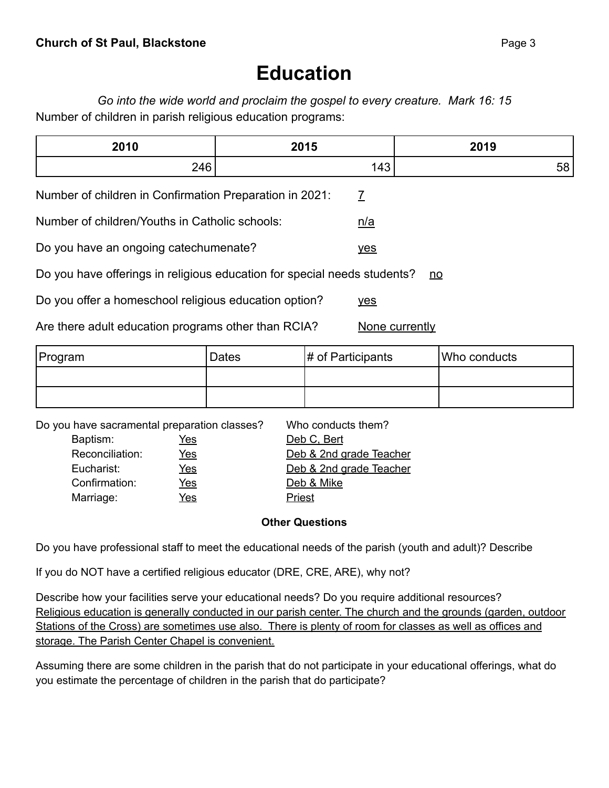## **Education**

*Go into the wide world and proclaim the gospel to every creature. Mark 16: 15* Number of children in parish religious education programs:

| 2010 | 2015  | 2019 |
|------|-------|------|
| 01C  | . л ' | -    |
| ~~~~ | ื⊤∿   | OC.  |

Number of children in Confirmation Preparation in 2021:  $\overline{7}$ 

Number of children/Youths in Catholic schools: n/a

Do you have an ongoing catechumenate?

Do you have offerings in religious education for special needs students? no

Do you offer a homeschool religious education option? yes

Are there adult education programs other than RCIA? None currently

| Program | Dates | $\sharp$ of Participants | Who conducts |
|---------|-------|--------------------------|--------------|
|         |       |                          |              |
|         |       |                          |              |

Do you have sacramental preparation classes? Who conducts them?

Baptism: Yes Deb C, Bert Confirmation: Yes Deb & Mike Marriage: Yes Yes Priest

Reconciliation: Yes Deb & 2nd grade Teacher Eucharist: Yes Yes Deb & 2nd grade Teacher

#### **Other Questions**

Do you have professional staff to meet the educational needs of the parish (youth and adult)? Describe

If you do NOT have a certified religious educator (DRE, CRE, ARE), why not?

Describe how your facilities serve your educational needs? Do you require additional resources? Religious education is generally conducted in our parish center. The church and the grounds (garden, outdoor Stations of the Cross) are sometimes use also. There is plenty of room for classes as well as offices and storage. The Parish Center Chapel is convenient.

Assuming there are some children in the parish that do not participate in your educational offerings, what do you estimate the percentage of children in the parish that do participate?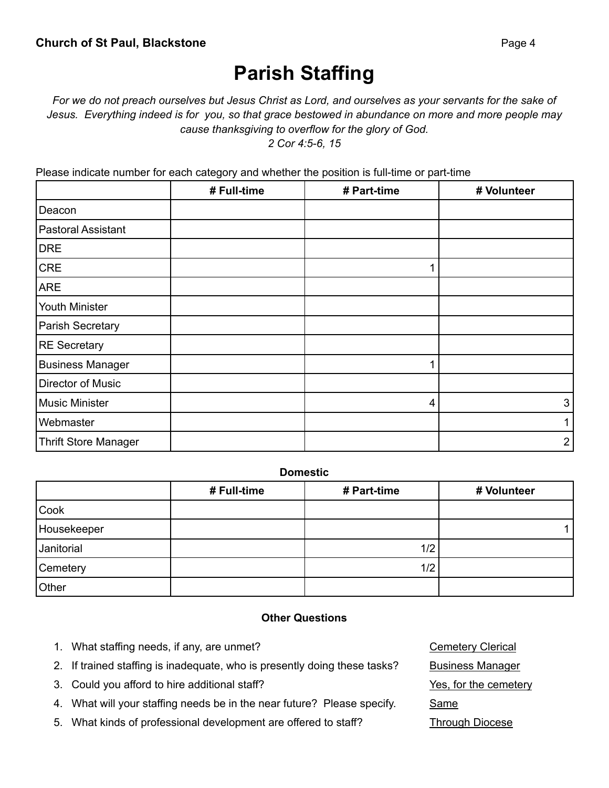## **Parish Staffing**

### For we do not preach ourselves but Jesus Christ as Lord, and ourselves as your servants for the sake of Jesus. Everything indeed is for you, so that grace bestowed in abundance on more and more people may *cause thanksgiving to overflow for the glory of God.*

*2 Cor 4:5-6, 15*

Please indicate number for each category and whether the position is full-time or part-time

|                             | # Full-time | # Part-time | # Volunteer |
|-----------------------------|-------------|-------------|-------------|
| Deacon                      |             |             |             |
| Pastoral Assistant          |             |             |             |
| <b>DRE</b>                  |             |             |             |
| <b>CRE</b>                  |             |             |             |
| <b>ARE</b>                  |             |             |             |
| Youth Minister              |             |             |             |
| Parish Secretary            |             |             |             |
| RE Secretary                |             |             |             |
| <b>Business Manager</b>     |             |             |             |
| Director of Music           |             |             |             |
| <b>Music Minister</b>       |             | 4           | 3           |
| Webmaster                   |             |             |             |
| <b>Thrift Store Manager</b> |             |             | 2           |

#### **Domestic**

|             | # Full-time | # Part-time | # Volunteer |
|-------------|-------------|-------------|-------------|
| Cook        |             |             |             |
| Housekeeper |             |             |             |
| Janitorial  |             | 1/2         |             |
| Cemetery    |             | 1/2         |             |
| Other       |             |             |             |

#### **Other Questions**

1. What staffing needs, if any, are unmet? Changes Constant Construction of the Cemetery Clerical 2. If trained staffing is inadequate, who is presently doing these tasks? Business Manager 3. Could you afford to hire additional staff? Yes, for the cemetery 4. What will your staffing needs be in the near future? Please specify. Same 5. What kinds of professional development are offered to staff? Through Diocese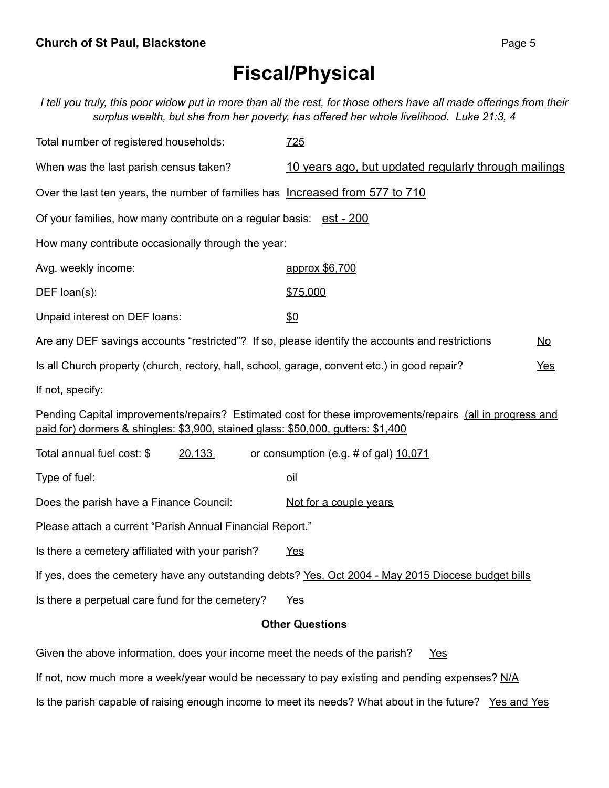## **Fiscal/Physical**

I tell you truly, this poor widow put in more than all the rest, for those others have all made offerings from their *surplus wealth, but she from her poverty, has offered her whole livelihood. Luke 21:3, 4*

| Total number of registered households:                                                          | 725                                                                                                      |           |  |  |
|-------------------------------------------------------------------------------------------------|----------------------------------------------------------------------------------------------------------|-----------|--|--|
| When was the last parish census taken?                                                          | 10 years ago, but updated regularly through mailings                                                     |           |  |  |
| Over the last ten years, the number of families has Increased from 577 to 710                   |                                                                                                          |           |  |  |
| Of your families, how many contribute on a regular basis: est - 200                             |                                                                                                          |           |  |  |
| How many contribute occasionally through the year:                                              |                                                                                                          |           |  |  |
| Avg. weekly income:                                                                             | approx \$6,700                                                                                           |           |  |  |
| DEF loan(s):                                                                                    | \$75,000                                                                                                 |           |  |  |
| Unpaid interest on DEF loans:                                                                   | \$0                                                                                                      |           |  |  |
| Are any DEF savings accounts "restricted"? If so, please identify the accounts and restrictions |                                                                                                          | <b>No</b> |  |  |
| Is all Church property (church, rectory, hall, school, garage, convent etc.) in good repair?    |                                                                                                          | Yes       |  |  |
| If not, specify:                                                                                |                                                                                                          |           |  |  |
| paid for) dormers & shingles: \$3,900, stained glass: \$50,000, gutters: \$1,400                | Pending Capital improvements/repairs? Estimated cost for these improvements/repairs (all in progress and |           |  |  |
| Total annual fuel cost: \$<br>20,133                                                            | or consumption (e.g. # of gal) 10.071                                                                    |           |  |  |
| Type of fuel:                                                                                   | $\overline{\text{oil}}$                                                                                  |           |  |  |
| Does the parish have a Finance Council:                                                         | Not for a couple years                                                                                   |           |  |  |
| Please attach a current "Parish Annual Financial Report."                                       |                                                                                                          |           |  |  |
| Is there a cemetery affiliated with your parish?                                                | <b>Yes</b>                                                                                               |           |  |  |
|                                                                                                 | If yes, does the cemetery have any outstanding debts? Yes, Oct 2004 - May 2015 Diocese budget bills      |           |  |  |
| Is there a perpetual care fund for the cemetery?                                                | Yes                                                                                                      |           |  |  |
| <b>Other Questions</b>                                                                          |                                                                                                          |           |  |  |

Given the above information, does your income meet the needs of the parish? Yes

If not, now much more a week/year would be necessary to pay existing and pending expenses? N/A

Is the parish capable of raising enough income to meet its needs? What about in the future? Yes and Yes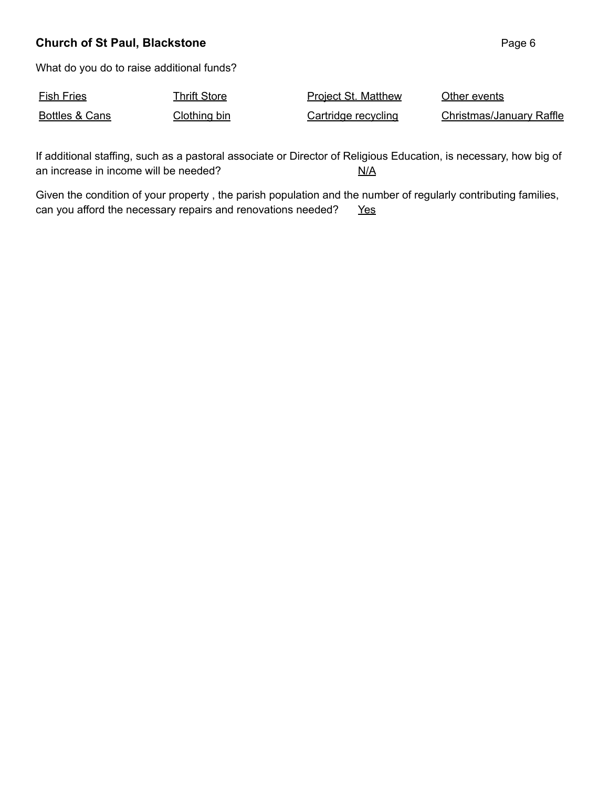#### **Church of St Paul, Blackstone Page 6 Page 6 Page 6 Page 6 Page 6 Page 6**

What do you do to raise additional funds?

| <b>Fish Fries</b> | Thrift Store | <b>Project St. Matthew</b> | Other events             |
|-------------------|--------------|----------------------------|--------------------------|
| Bottles & Cans    | Clothing bin | Cartridge recycling        | Christmas/January Raffle |

If additional staffing, such as a pastoral associate or Director of Religious Education, is necessary, how big of an increase in income will be needed?  $N/A$ 

Given the condition of your property , the parish population and the number of regularly contributing families, can you afford the necessary repairs and renovations needed? Yes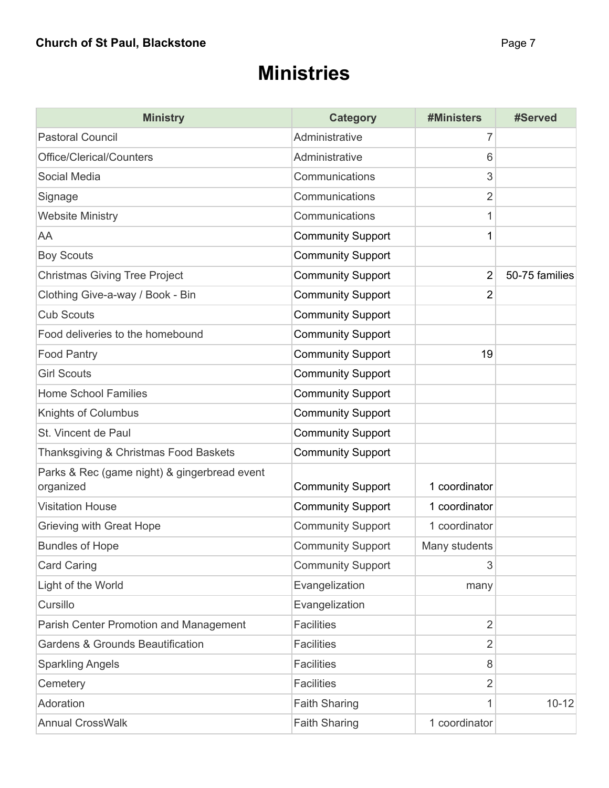### **Ministries**

| <b>Ministry</b>                                           | <b>Category</b>          | #Ministers     | #Served        |
|-----------------------------------------------------------|--------------------------|----------------|----------------|
| <b>Pastoral Council</b>                                   | Administrative           | 7              |                |
| Office/Clerical/Counters                                  | Administrative           | 6              |                |
| Social Media                                              | Communications           | 3              |                |
| Signage                                                   | Communications           | $\overline{2}$ |                |
| <b>Website Ministry</b>                                   | Communications           | 1              |                |
| AA                                                        | <b>Community Support</b> | 1              |                |
| <b>Boy Scouts</b>                                         | <b>Community Support</b> |                |                |
| <b>Christmas Giving Tree Project</b>                      | <b>Community Support</b> | $\overline{2}$ | 50-75 families |
| Clothing Give-a-way / Book - Bin                          | <b>Community Support</b> | 2              |                |
| <b>Cub Scouts</b>                                         | <b>Community Support</b> |                |                |
| Food deliveries to the homebound                          | <b>Community Support</b> |                |                |
| <b>Food Pantry</b>                                        | <b>Community Support</b> | 19             |                |
| <b>Girl Scouts</b>                                        | <b>Community Support</b> |                |                |
| <b>Home School Families</b>                               | <b>Community Support</b> |                |                |
| Knights of Columbus                                       | <b>Community Support</b> |                |                |
| St. Vincent de Paul                                       | <b>Community Support</b> |                |                |
| Thanksgiving & Christmas Food Baskets                     | <b>Community Support</b> |                |                |
| Parks & Rec (game night) & gingerbread event<br>organized | <b>Community Support</b> | 1 coordinator  |                |
| <b>Visitation House</b>                                   | <b>Community Support</b> | 1 coordinator  |                |
| Grieving with Great Hope                                  | <b>Community Support</b> | 1 coordinator  |                |
| <b>Bundles of Hope</b>                                    | <b>Community Support</b> | Many students  |                |
| <b>Card Caring</b>                                        | <b>Community Support</b> | 3              |                |
| Light of the World                                        | Evangelization           | many           |                |
| Cursillo                                                  | Evangelization           |                |                |
| Parish Center Promotion and Management                    | <b>Facilities</b>        | $\overline{2}$ |                |
| <b>Gardens &amp; Grounds Beautification</b>               | <b>Facilities</b>        | $\overline{2}$ |                |
| <b>Sparkling Angels</b>                                   | <b>Facilities</b>        | 8              |                |
| Cemetery                                                  | <b>Facilities</b>        | 2              |                |
| Adoration                                                 | <b>Faith Sharing</b>     |                | $10 - 12$      |
| <b>Annual CrossWalk</b>                                   | <b>Faith Sharing</b>     | 1 coordinator  |                |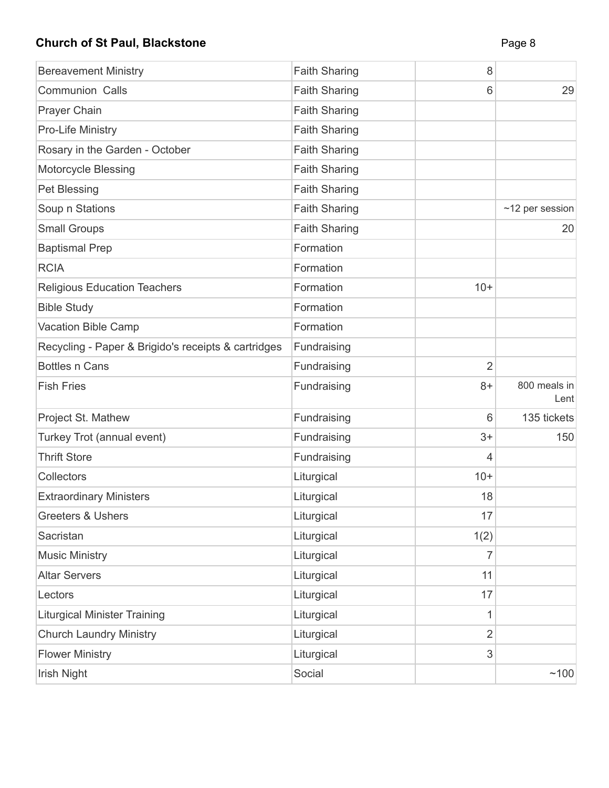### **Church of St Paul, Blackstone Page 8 Page 8**

| <b>Bereavement Ministry</b>                         | <b>Faith Sharing</b> | 8              |                       |
|-----------------------------------------------------|----------------------|----------------|-----------------------|
| <b>Communion Calls</b>                              | <b>Faith Sharing</b> | 6              | 29                    |
| Prayer Chain                                        | <b>Faith Sharing</b> |                |                       |
| Pro-Life Ministry                                   | <b>Faith Sharing</b> |                |                       |
| Rosary in the Garden - October                      | <b>Faith Sharing</b> |                |                       |
| <b>Motorcycle Blessing</b>                          | <b>Faith Sharing</b> |                |                       |
| Pet Blessing                                        | <b>Faith Sharing</b> |                |                       |
| Soup n Stations                                     | <b>Faith Sharing</b> |                | $~12$ per session     |
| <b>Small Groups</b>                                 | <b>Faith Sharing</b> |                | 20                    |
| <b>Baptismal Prep</b>                               | Formation            |                |                       |
| <b>RCIA</b>                                         | Formation            |                |                       |
| <b>Religious Education Teachers</b>                 | Formation            | $10+$          |                       |
| <b>Bible Study</b>                                  | Formation            |                |                       |
| Vacation Bible Camp                                 | Formation            |                |                       |
| Recycling - Paper & Brigido's receipts & cartridges | Fundraising          |                |                       |
| <b>Bottles n Cans</b>                               | Fundraising          | $\overline{2}$ |                       |
| <b>Fish Fries</b>                                   | Fundraising          | $8+$           | 800 meals in<br>Lentl |
| Project St. Mathew                                  | Fundraising          | 6              | 135 tickets           |
| Turkey Trot (annual event)                          | Fundraising          | $3+$           | 150                   |
| <b>Thrift Store</b>                                 | Fundraising          | 4              |                       |
| Collectors                                          | Liturgical           | $10+$          |                       |
| <b>Extraordinary Ministers</b>                      | Liturgical           | 18             |                       |
| <b>Greeters &amp; Ushers</b>                        | Liturgical           | 17             |                       |
| Sacristan                                           | Liturgical           | 1(2)           |                       |
| <b>Music Ministry</b>                               | Liturgical           | 7              |                       |
| <b>Altar Servers</b>                                | Liturgical           | 11             |                       |
| Lectors                                             | Liturgical           | 17             |                       |
| <b>Liturgical Minister Training</b>                 | Liturgical           | 1              |                       |
| <b>Church Laundry Ministry</b>                      | Liturgical           | 2              |                       |
| <b>Flower Ministry</b>                              | Liturgical           | 3              |                       |
| Irish Night                                         | Social               |                | ~100                  |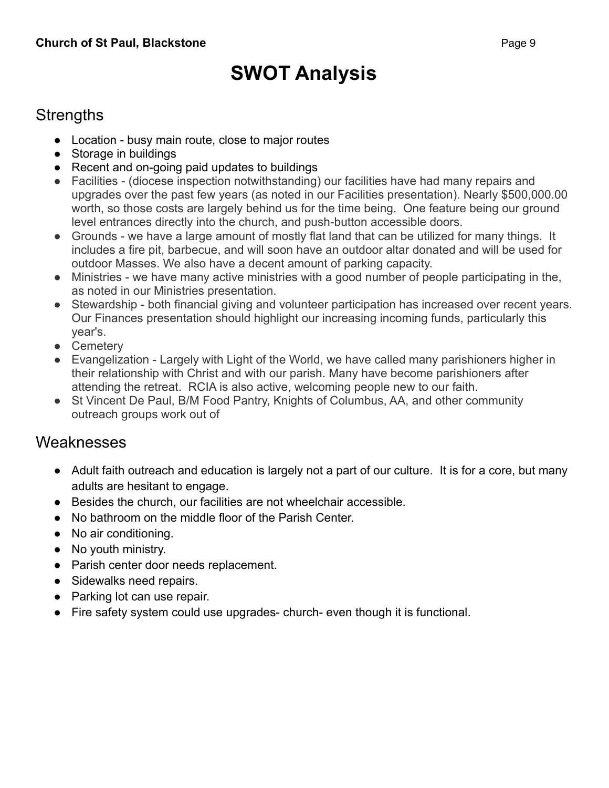# **SWOT Analysis**

### **Strengths**

- Location busy main route, close to major routes
- Storage in buildings
- Recent and on-going paid updates to buildings
- Facilities (diocese inspection notwithstanding) our facilities have had many repairs and upgrades over the past few years (as noted in our Facilities presentation). Nearly \$500,000.00 worth, so those costs are largely behind us for the time being. One feature being our ground level entrances directly into the church, and push-button accessible doors.
- Grounds we have a large amount of mostly flat land that can be utilized for many things. It includes a fire pit, barbecue, and will soon have an outdoor altar donated and will be used for outdoor Masses. We also have a decent amount of parking capacity.
- Ministries we have many active ministries with a good number of people participating in the, as noted in our Ministries presentation.
- Stewardship both financial giving and volunteer participation has increased over recent years. Our Finances presentation should highlight our increasing incoming funds, particularly this year's.
- Cemeterv
- Evangelization Largely with Light of the World, we have called many parishioners higher in their relationship with Christ and with our parish. Many have become parishioners after attending the retreat. RCIA is also active, welcoming people new to our faith.
- St Vincent De Paul, B/M Food Pantry, Knights of Columbus, AA, and other community outreach groups work out of

### Weaknesses

- Adult faith outreach and education is largely not a part of our culture. It is for a core, but many adults are hesitant to engage.
- Besides the church, our facilities are not wheelchair accessible.
- No bathroom on the middle floor of the Parish Center.
- No air conditioning.
- No youth ministry.
- Parish center door needs replacement.
- Sidewalks need repairs.
- Parking lot can use repair.
- Fire safety system could use upgrades- church- even though it is functional.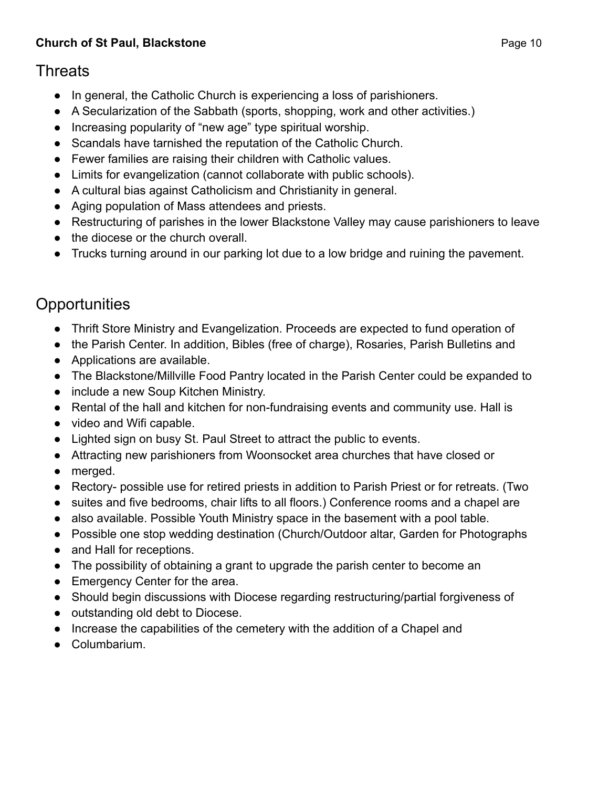#### **Church of St Paul, Blackstone Page 10**

### **Threats**

- In general, the Catholic Church is experiencing a loss of parishioners.
- A Secularization of the Sabbath (sports, shopping, work and other activities.)
- Increasing popularity of "new age" type spiritual worship.
- Scandals have tarnished the reputation of the Catholic Church.
- Fewer families are raising their children with Catholic values.
- Limits for evangelization (cannot collaborate with public schools).
- A cultural bias against Catholicism and Christianity in general.
- Aging population of Mass attendees and priests.
- Restructuring of parishes in the lower Blackstone Valley may cause parishioners to leave
- the diocese or the church overall.
- Trucks turning around in our parking lot due to a low bridge and ruining the pavement.

### **Opportunities**

- Thrift Store Ministry and Evangelization. Proceeds are expected to fund operation of
- the Parish Center. In addition, Bibles (free of charge), Rosaries, Parish Bulletins and
- Applications are available.
- The Blackstone/Millville Food Pantry located in the Parish Center could be expanded to
- include a new Soup Kitchen Ministry.
- Rental of the hall and kitchen for non-fundraising events and community use. Hall is
- video and Wifi capable.
- Lighted sign on busy St. Paul Street to attract the public to events.
- Attracting new parishioners from Woonsocket area churches that have closed or
- merged.
- Rectory- possible use for retired priests in addition to Parish Priest or for retreats. (Two
- suites and five bedrooms, chair lifts to all floors.) Conference rooms and a chapel are
- also available. Possible Youth Ministry space in the basement with a pool table.
- Possible one stop wedding destination (Church/Outdoor altar, Garden for Photographs
- and Hall for receptions.
- The possibility of obtaining a grant to upgrade the parish center to become an
- Emergency Center for the area.
- Should begin discussions with Diocese regarding restructuring/partial forgiveness of
- outstanding old debt to Diocese.
- Increase the capabilities of the cemetery with the addition of a Chapel and
- Columbarium.